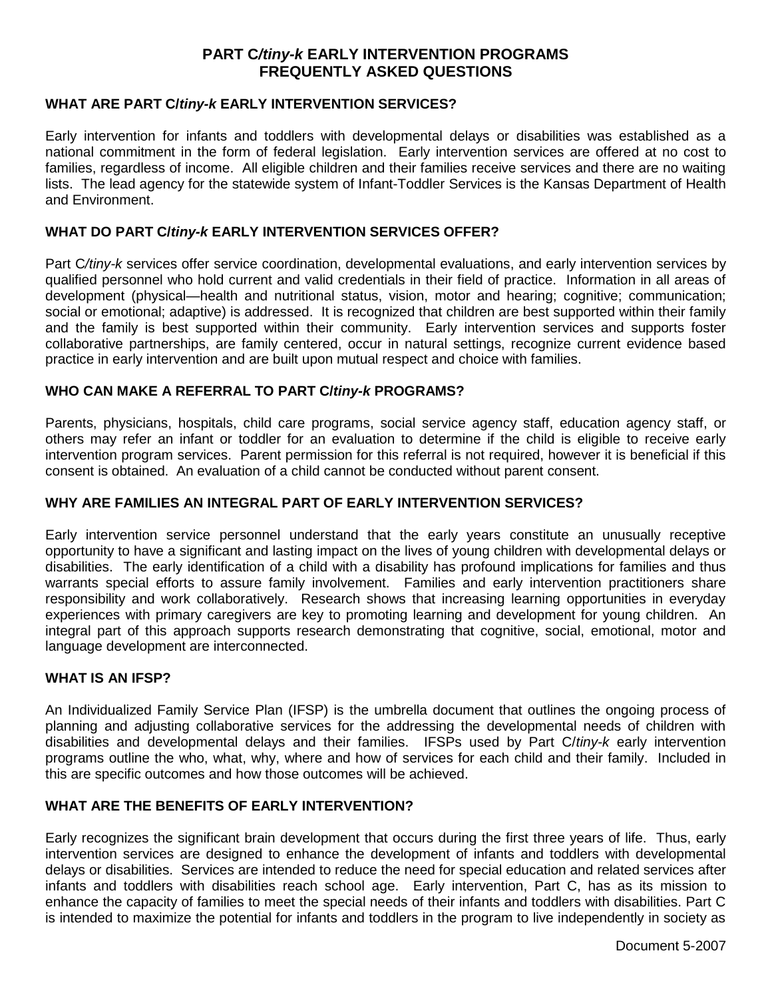# **PART C***/tiny-k* **EARLY INTERVENTION PROGRAMS FREQUENTLY ASKED QUESTIONS**

## **WHAT ARE PART C/***tiny-k* **EARLY INTERVENTION SERVICES?**

Early intervention for infants and toddlers with developmental delays or disabilities was established as a national commitment in the form of federal legislation. Early intervention services are offered at no cost to families, regardless of income. All eligible children and their families receive services and there are no waiting lists. The lead agency for the statewide system of Infant-Toddler Services is the Kansas Department of Health and Environment.

## **WHAT DO PART C/***tiny-k* **EARLY INTERVENTION SERVICES OFFER?**

Part C*/tiny-k* services offer service coordination, developmental evaluations, and early intervention services by qualified personnel who hold current and valid credentials in their field of practice. Information in all areas of development (physical—health and nutritional status, vision, motor and hearing; cognitive; communication; social or emotional; adaptive) is addressed. It is recognized that children are best supported within their family and the family is best supported within their community. Early intervention services and supports foster collaborative partnerships, are family centered, occur in natural settings, recognize current evidence based practice in early intervention and are built upon mutual respect and choice with families.

## **WHO CAN MAKE A REFERRAL TO PART C/***tiny-k* **PROGRAMS?**

Parents, physicians, hospitals, child care programs, social service agency staff, education agency staff, or others may refer an infant or toddler for an evaluation to determine if the child is eligible to receive early intervention program services. Parent permission for this referral is not required, however it is beneficial if this consent is obtained. An evaluation of a child cannot be conducted without parent consent.

#### **WHY ARE FAMILIES AN INTEGRAL PART OF EARLY INTERVENTION SERVICES?**

Early intervention service personnel understand that the early years constitute an unusually receptive opportunity to have a significant and lasting impact on the lives of young children with developmental delays or disabilities. The early identification of a child with a disability has profound implications for families and thus warrants special efforts to assure family involvement. Families and early intervention practitioners share responsibility and work collaboratively. Research shows that increasing learning opportunities in everyday experiences with primary caregivers are key to promoting learning and development for young children. An integral part of this approach supports research demonstrating that cognitive, social, emotional, motor and language development are interconnected.

#### **WHAT IS AN IFSP?**

An Individualized Family Service Plan (IFSP) is the umbrella document that outlines the ongoing process of planning and adjusting collaborative services for the addressing the developmental needs of children with disabilities and developmental delays and their families. IFSPs used by Part C/*tiny-k* early intervention programs outline the who, what, why, where and how of services for each child and their family. Included in this are specific outcomes and how those outcomes will be achieved.

## **WHAT ARE THE BENEFITS OF EARLY INTERVENTION?**

Early recognizes the significant brain development that occurs during the first three years of life. Thus, early intervention services are designed to enhance the development of infants and toddlers with developmental delays or disabilities. Services are intended to reduce the need for special education and related services after infants and toddlers with disabilities reach school age. Early intervention, Part C, has as its mission to enhance the capacity of families to meet the special needs of their infants and toddlers with disabilities. Part C is intended to maximize the potential for infants and toddlers in the program to live independently in society as